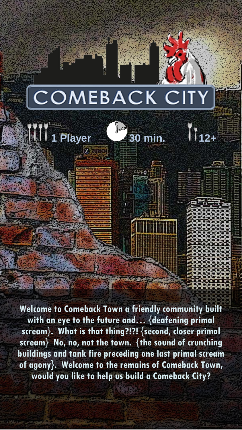

**Welcome to Comeback Town a friendly community built with an eye to the future and… {deafening primal scream}. What is that thing?!?! {second, closer primal scream} No, no, not the town. {the sound of crunching buildings and tank fire preceding one last primal scream of agony}. Welcome to the remains of Comeback Town, would you like to help us build a Comeback City?**

1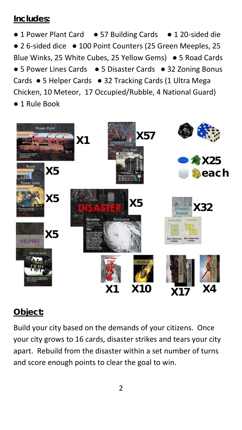## **Includes:**

● 1 Power Plant Card ● 57 Building Cards ● 1 20-sided die ● 2 6-sided dice ● 100 Point Counters (25 Green Meeples, 25 Blue Winks, 25 White Cubes, 25 Yellow Gems) ● 5 Road Cards ● 5 Power Lines Cards ● 5 Disaster Cards ● 32 Zoning Bonus Cards ● 5 Helper Cards ● 32 Tracking Cards (1 Ultra Mega Chicken, 10 Meteor, 17 Occupied/Rubble, 4 National Guard) ● 1 Rule Book



### **Object:**

Build your city based on the demands of your citizens. Once your city grows to 16 cards, disaster strikes and tears your city apart. Rebuild from the disaster within a set number of turns and score enough points to clear the goal to win.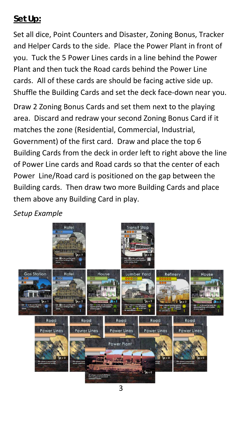# **Set Up:**

Set all dice, Point Counters and Disaster, Zoning Bonus, Tracker and Helper Cards to the side. Place the Power Plant in front of you. Tuck the 5 Power Lines cards in a line behind the Power Plant and then tuck the Road cards behind the Power Line cards. All of these cards are should be facing active side up. Shuffle the Building Cards and set the deck face-down near you. Draw 2 Zoning Bonus Cards and set them next to the playing area. Discard and redraw your second Zoning Bonus Card if it matches the zone (Residential, Commercial, Industrial, Government) of the first card. Draw and place the top 6

Building Cards from the deck in order left to right above the line of Power Line cards and Road cards so that the center of each Power Line/Road card is positioned on the gap between the Building cards. Then draw two more Building Cards and place them above any Building Card in play.

#### *Setup Example*

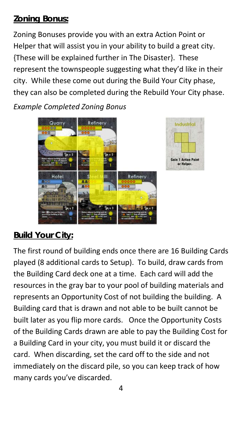# **Zoning Bonus:**

Zoning Bonuses provide you with an extra Action Point or Helper that will assist you in your ability to build a great city. {These will be explained further in The Disaster}. These represent the townspeople suggesting what they'd like in their city. While these come out during the Build Your City phase, they can also be completed during the Rebuild Your City phase.

*Example Completed Zoning Bonus*



# **Build Your City:**

The first round of building ends once there are 16 Building Cards played (8 additional cards to Setup). To build, draw cards from the Building Card deck one at a time. Each card will add the resources in the gray bar to your pool of building materials and represents an Opportunity Cost of not building the building. A Building card that is drawn and not able to be built cannot be built later as you flip more cards. Once the Opportunity Costs of the Building Cards drawn are able to pay the Building Cost for a Building Card in your city, you must build it or discard the card. When discarding, set the card off to the side and not immediately on the discard pile, so you can keep track of how many cards you've discarded.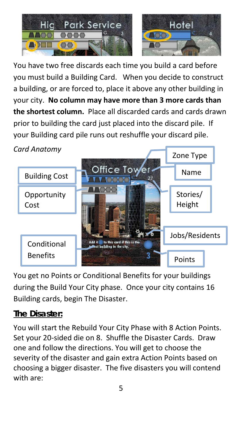

You have two free discards each time you build a card before you must build a Building Card. When you decide to construct a building, or are forced to, place it above any other building in your city. **No column may have more than 3 more cards than the shortest column.** Place all discarded cards and cards drawn prior to building the card just placed into the discard pile. If your Building card pile runs out reshuffle your discard pile.

#### *Card Anatomy*



You get no Points or Conditional Benefits for your buildings during the Build Your City phase. Once your city contains 16 Building cards, begin The Disaster.

#### **The Disaster:**

You will start the Rebuild Your City Phase with 8 Action Points. Set your 20-sided die on 8. Shuffle the Disaster Cards. Draw one and follow the directions. You will get to choose the severity of the disaster and gain extra Action Points based on choosing a bigger disaster. The five disasters you will contend with are: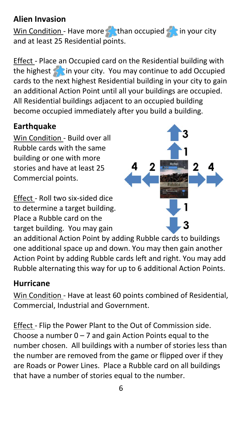## **Alien Invasion**

Win Condition - Have more than occupied  $\leq$  in your city and at least 25 Residential points.

Effect - Place an Occupied card on the Residential building with the highest in your city. You may continue to add Occupied cards to the next highest Residential building in your city to gain an additional Action Point until all your buildings are occupied. All Residential buildings adjacent to an occupied building become occupied immediately after you build a building.

### **Earthquake**

Win Condition - Build over all Rubble cards with the same building or one with more stories and have at least 25 Commercial points.

Effect - Roll two six-sided dice to determine a target building. Place a Rubble card on the target building. You may gain



an additional Action Point by adding Rubble cards to buildings one additional space up and down. You may then gain another Action Point by adding Rubble cards left and right. You may add Rubble alternating this way for up to 6 additional Action Points.

# **Hurricane**

Win Condition - Have at least 60 points combined of Residential, Commercial, Industrial and Government.

Effect - Flip the Power Plant to the Out of Commission side. Choose a number  $0 - 7$  and gain Action Points equal to the number chosen. All buildings with a number of stories less than the number are removed from the game or flipped over if they are Roads or Power Lines. Place a Rubble card on all buildings that have a number of stories equal to the number.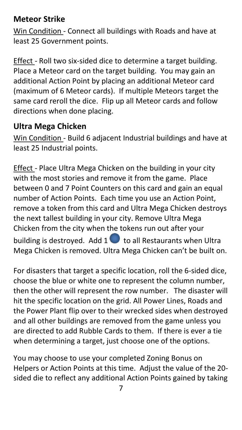### **Meteor Strike**

Win Condition - Connect all buildings with Roads and have at least 25 Government points.

Effect - Roll two six-sided dice to determine a target building. Place a Meteor card on the target building. You may gain an additional Action Point by placing an additional Meteor card (maximum of 6 Meteor cards). If multiple Meteors target the same card reroll the dice. Flip up all Meteor cards and follow directions when done placing.

#### **Ultra Mega Chicken**

Win Condition - Build 6 adjacent Industrial buildings and have at least 25 Industrial points.

Effect - Place Ultra Mega Chicken on the building in your city with the most stories and remove it from the game. Place between 0 and 7 Point Counters on this card and gain an equal number of Action Points. Each time you use an Action Point, remove a token from this card and Ultra Mega Chicken destroys the next tallest building in your city. Remove Ultra Mega Chicken from the city when the tokens run out after your building is destroyed. Add  $1 \bullet t$  to all Restaurants when Ultra Mega Chicken is removed. Ultra Mega Chicken can't be built on.

For disasters that target a specific location, roll the 6-sided dice, choose the blue or white one to represent the column number, then the other will represent the row number. The disaster will hit the specific location on the grid. All Power Lines, Roads and the Power Plant flip over to their wrecked sides when destroyed and all other buildings are removed from the game unless you are directed to add Rubble Cards to them. If there is ever a tie when determining a target, just choose one of the options.

You may choose to use your completed Zoning Bonus on Helpers or Action Points at this time. Adjust the value of the 20 sided die to reflect any additional Action Points gained by taking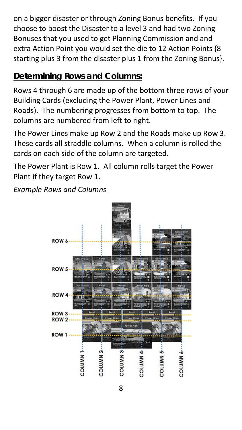on a bigger disaster or through Zoning Bonus benefits. If you choose to boost the Disaster to a level 3 and had two Zoning Bonuses that you used to get Planning Commission and and extra Action Point you would set the die to 12 Action Points {8 starting plus 3 from the disaster plus 1 from the Zoning Bonus}.

# **Determining Rows and Columns:**

Rows 4 through 6 are made up of the bottom three rows of your Building Cards (excluding the Power Plant, Power Lines and Roads). The numbering progresses from bottom to top. The columns are numbered from left to right.

The Power Lines make up Row 2 and the Roads make up Row 3. These cards all straddle columns. When a column is rolled the cards on each side of the column are targeted.

The Power Plant is Row 1. All column rolls target the Power Plant if they target Row 1.

*Example Rows and Columns*

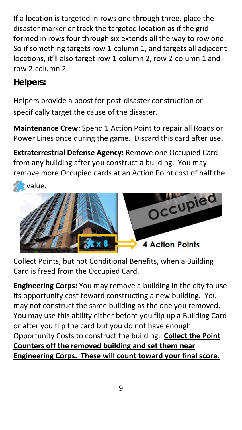If a location is targeted in rows one through three, place the disaster marker or track the targeted location as if the grid formed in rows four through six extends all the way to row one. So if something targets row 1-column 1, and targets all adjacent locations, it'll also target row 1-column 2, row 2-column 1 and row 2-column 2.

#### **Helpers:**

Helpers provide a boost for post-disaster construction or specifically target the cause of the disaster.

**Maintenance Crew:** Spend 1 Action Point to repair all Roads or Power Lines once during the game. Discard this card after use.

**Extraterrestrial Defense Agency:** Remove one Occupied Card from any building after you construct a building. You may remove more Occupied cards at an Action Point cost of half the

value.



Collect Points, but not Conditional Benefits, when a Building Card is freed from the Occupied Card.

**Engineering Corps:** You may remove a building in the city to use its opportunity cost toward constructing a new building. You may not construct the same building as the one you removed. You may use this ability either before you flip up a Building Card or after you flip the card but you do not have enough Opportunity Costs to construct the building. **Collect the Point Counters off the removed building and set them near Engineering Corps. These will count toward your final score.**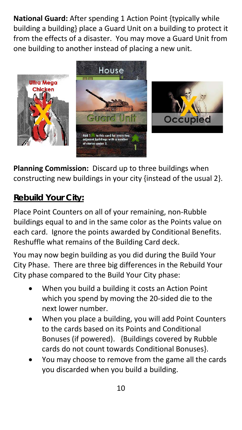**National Guard:** After spending 1 Action Point {typically while building a building} place a Guard Unit on a building to protect it from the effects of a disaster. You may move a Guard Unit from one building to another instead of placing a new unit.





**Planning Commission:** Discard up to three buildings when constructing new buildings in your city {instead of the usual 2}.

# **Rebuild Your City:**

Place Point Counters on all of your remaining, non-Rubble buildings equal to and in the same color as the Points value on each card. Ignore the points awarded by Conditional Benefits. Reshuffle what remains of the Building Card deck.

You may now begin building as you did during the Build Your City Phase. There are three big differences in the Rebuild Your City phase compared to the Build Your City phase:

- When you build a building it costs an Action Point which you spend by moving the 20-sided die to the next lower number.
- When you place a building, you will add Point Counters to the cards based on its Points and Conditional Bonuses (if powered). {Buildings covered by Rubble cards do not count towards Conditional Bonuses}.
- You may choose to remove from the game all the cards you discarded when you build a building.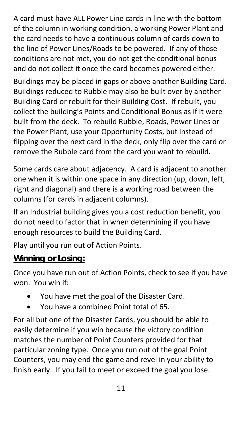A card must have ALL Power Line cards in line with the bottom of the column in working condition, a working Power Plant and the card needs to have a continuous column of cards down to the line of Power Lines/Roads to be powered. If any of those conditions are not met, you do not get the conditional bonus and do not collect it once the card becomes powered either.

Buildings may be placed in gaps or above another Building Card. Buildings reduced to Rubble may also be built over by another Building Card or rebuilt for their Building Cost. If rebuilt, you collect the building's Points and Conditional Bonus as if it were built from the deck. To rebuild Rubble, Roads, Power Lines or the Power Plant, use your Opportunity Costs, but instead of flipping over the next card in the deck, only flip over the card or remove the Rubble card from the card you want to rebuild.

Some cards care about adjacency. A card is adjacent to another one when it is within one space in any direction (up, down, left, right and diagonal) and there is a working road between the columns (for cards in adjacent columns).

If an Industrial building gives you a cost reduction benefit, you do not need to factor that in when determining if you have enough resources to build the Building Card.

Play until you run out of Action Points.

### **Winning or Losing:**

Once you have run out of Action Points, check to see if you have won. You win if:

- You have met the goal of the Disaster Card.
- You have a combined Point total of 65.

For all but one of the Disaster Cards, you should be able to easily determine if you win because the victory condition matches the number of Point Counters provided for that particular zoning type. Once you run out of the goal Point Counters, you may end the game and revel in your ability to finish early. If you fail to meet or exceed the goal you lose.